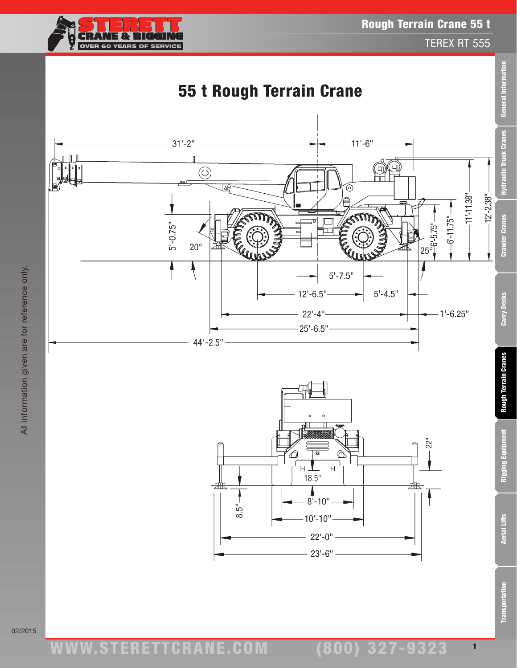

TEREX RT 555

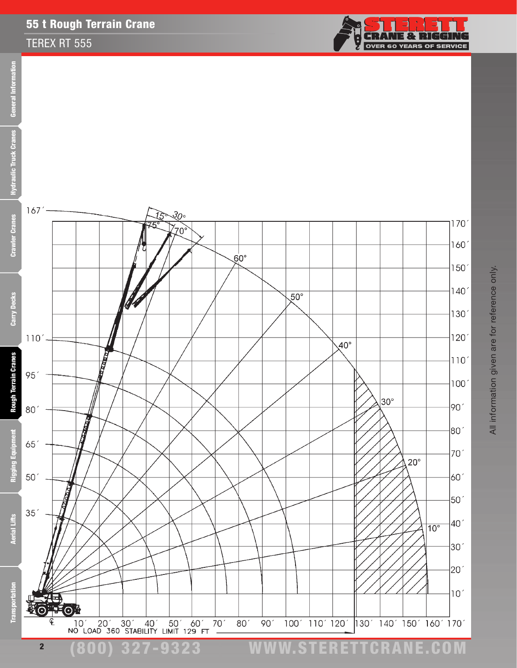## 55 t Rough Terrain Crane

## TEREX RT 555



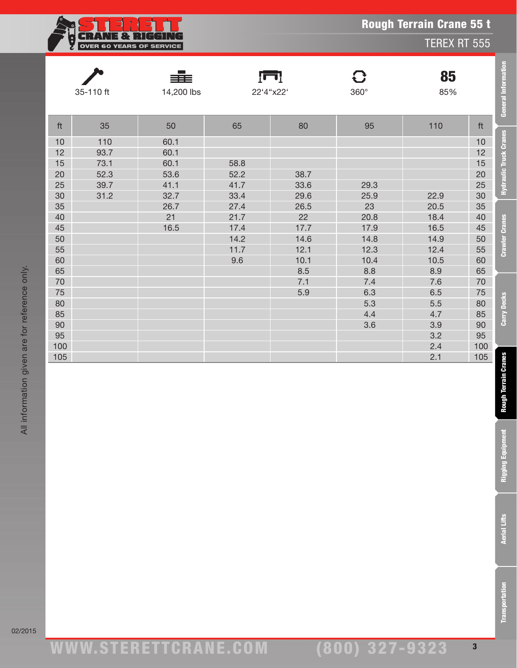|     | $\ddot{\bullet}$                |                   | <b>Rough Terrain Crane 55 t</b><br><b>TEREX RT 555</b> |                 |                  |           |     |  |  |
|-----|---------------------------------|-------------------|--------------------------------------------------------|-----------------|------------------|-----------|-----|--|--|
|     | <b>OVER 60 YEARS OF SERVICE</b> |                   |                                                        |                 |                  |           |     |  |  |
|     | 35-110 ft                       | ≣≣≡<br>14,200 lbs |                                                        | Ţп<br>22'4"x22' | G<br>$360^\circ$ | 85<br>85% |     |  |  |
|     |                                 |                   |                                                        |                 |                  |           |     |  |  |
| ft  | 35                              | 50                | 65                                                     | 80              | 95               | 110       | ft  |  |  |
| 10  | 110                             | 60.1              |                                                        |                 |                  |           | 10  |  |  |
| 12  | 93.7                            | 60.1              |                                                        |                 |                  |           | 12  |  |  |
| 15  | 73.1                            | 60.1              | 58.8                                                   |                 |                  |           | 15  |  |  |
| 20  | 52.3                            | 53.6              | 52.2                                                   | 38.7            |                  |           | 20  |  |  |
| 25  | 39.7                            | 41.1              | 41.7                                                   | 33.6            | 29.3             |           | 25  |  |  |
| 30  | 31.2                            | 32.7              | 33.4                                                   | 29.6            | 25.9             | 22.9      | 30  |  |  |
| 35  |                                 | 26.7              | 27.4                                                   | 26.5            | 23               | 20.5      | 35  |  |  |
| 40  |                                 | 21                | 21.7                                                   | 22              | 20.8             | 18.4      | 40  |  |  |
| 45  |                                 | 16.5              | 17.4                                                   | 17.7            | 17.9             | 16.5      | 45  |  |  |
| 50  |                                 |                   | 14.2                                                   | 14.6            | 14.8             | 14.9      | 50  |  |  |
| 55  |                                 |                   | 11.7                                                   | 12.1            | 12.3             | 12.4      | 55  |  |  |
| 60  |                                 |                   | 9.6                                                    | 10.1            | 10.4             | 10.5      | 60  |  |  |
| 65  |                                 |                   |                                                        | 8.5             | 8.8              | 8.9       | 65  |  |  |
| 70  |                                 |                   |                                                        | 7.1             | 7.4              | 7.6       | 70  |  |  |
| 75  |                                 |                   |                                                        | 5.9             | 6.3              | 6.5       | 75  |  |  |
| 80  |                                 |                   |                                                        |                 | 5.3              | 5.5       | 80  |  |  |
| 85  |                                 |                   |                                                        |                 | 4.4              | 4.7       | 85  |  |  |
| 90  |                                 |                   |                                                        |                 | 3.6              | 3.9       | 90  |  |  |
| 95  |                                 |                   |                                                        |                 |                  | 3.2       | 95  |  |  |
| 100 |                                 |                   |                                                        |                 |                  | 2.4       | 100 |  |  |
| 105 |                                 |                   |                                                        |                 |                  | 2.1       | 105 |  |  |

**General Information** 

**Hydraulic Truck Cranes** 

**Crawler Cranes** 

Carry Decks